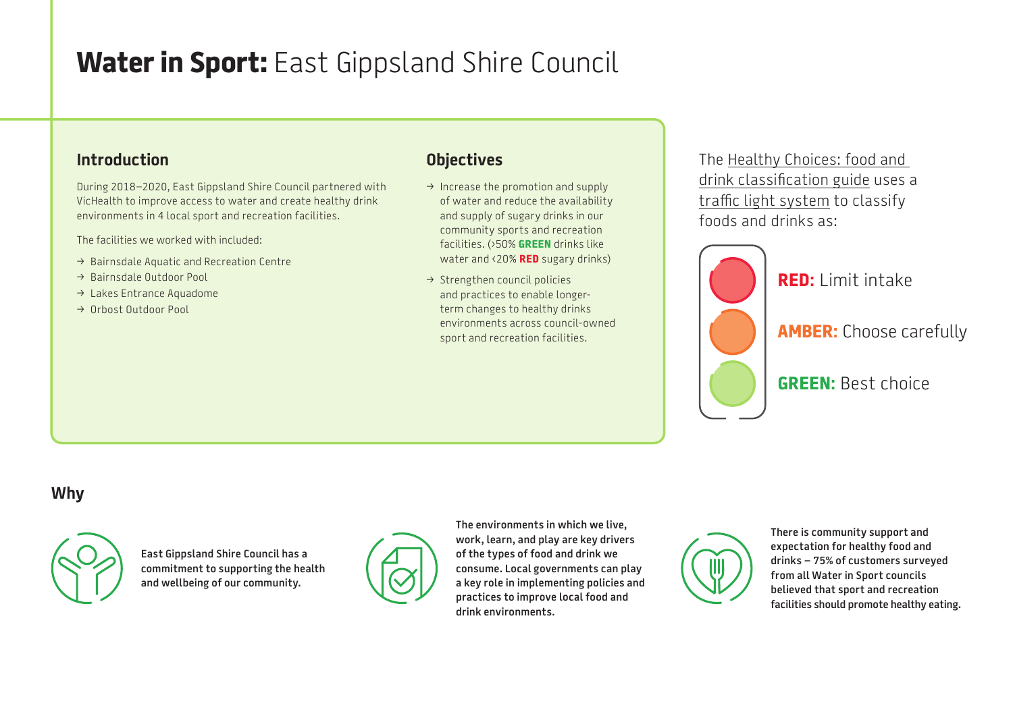# **Water in Sport:** East Gippsland Shire Council

### **Introduction**

During 2018–2020, East Gippsland Shire Council partnered with VicHealth to improve access to water and create healthy drink environments in 4 local sport and recreation facilities.

The facilities we worked with included:

- $\rightarrow$  Bairnsdale Aquatic and Recreation Centre
- $\rightarrow$  Bairnsdale Outdoor Pool
- $\rightarrow$  Lakes Entrance Aquadome
- > Orbost Outdoor Pool

## **Objectives**

- $\rightarrow$  Increase the promotion and supply of water and reduce the availability and supply of sugary drinks in our community sports and recreation facilities. (›50% **GREEN** drinks like water and ‹20% **RED** sugary drinks)
- $\rightarrow$  Strengthen council policies and practices to enable longerterm changes to healthy drinks environments across council-owned sport and recreation facilities.

The [Healthy Choices: food and](https://www2.health.vic.gov.au/public-health/preventive-health/nutrition/healthy-choices-for-retail-outlets-vending-machines-catering)  [drink classification guide](https://www2.health.vic.gov.au/public-health/preventive-health/nutrition/healthy-choices-for-retail-outlets-vending-machines-catering) uses a [traffic light system](https://heas.health.vic.gov.au/healthy-choices/guidelines/traffic-light-system) to classify foods and drinks as:



**RED:** Limit intake

**AMBER:** Choose carefully

**GREEN:** Best choice

## **Why**



**East Gippsland Shire Council has a commitment to supporting the health and wellbeing of our community.**



**The environments in which we live, work, learn, and play are key drivers of the types of food and drink we consume. Local governments can play a key role in implementing policies and practices to improve local food and drink environments.**

**There is community support and expectation for healthy food and drinks – 75% of customers surveyed from all Water in Sport councils believed that sport and recreation facilities should promote healthy eating.**